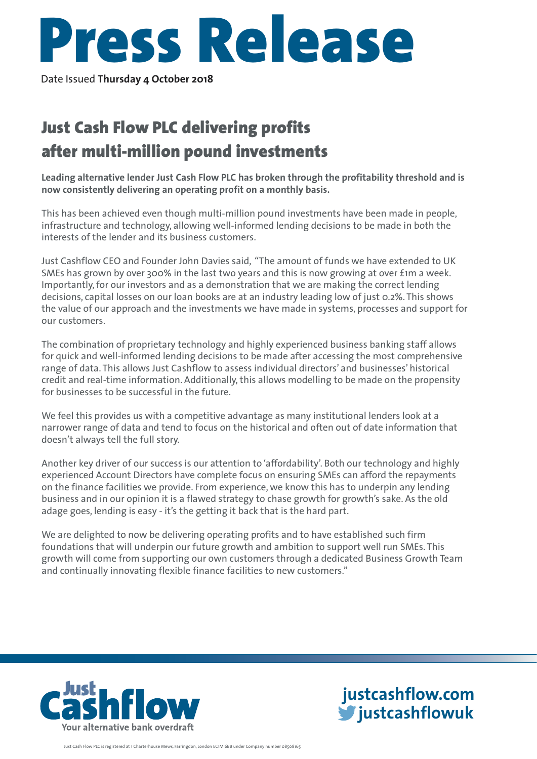

Date Issued **Thursday 4 October 2018**

## Just Cash Flow PLC delivering profits after multi-million pound investments

**Leading alternative lender Just Cash Flow PLC has broken through the profitability threshold and is now consistently delivering an operating profit on a monthly basis.**

This has been achieved even though multi-million pound investments have been made in people, infrastructure and technology, allowing well-informed lending decisions to be made in both the interests of the lender and its business customers.

Just Cashflow CEO and Founder John Davies said, "The amount of funds we have extended to UK SMEs has grown by over 300% in the last two years and this is now growing at over £1m a week. Importantly, for our investors and as a demonstration that we are making the correct lending decisions, capital losses on our loan books are at an industry leading low of just 0.2%. This shows the value of our approach and the investments we have made in systems, processes and support for our customers.

The combination of proprietary technology and highly experienced business banking staff allows for quick and well-informed lending decisions to be made after accessing the most comprehensive range of data. This allows Just Cashflow to assess individual directors' and businesses' historical credit and real-time information. Additionally, this allows modelling to be made on the propensity for businesses to be successful in the future.

We feel this provides us with a competitive advantage as many institutional lenders look at a narrower range of data and tend to focus on the historical and often out of date information that doesn't always tell the full story.

Another key driver of our success is our attention to 'affordability'. Both our technology and highly experienced Account Directors have complete focus on ensuring SMEs can afford the repayments on the finance facilities we provide. From experience, we know this has to underpin any lending business and in our opinion it is a flawed strategy to chase growth for growth's sake. As the old adage goes, lending is easy - it's the getting it back that is the hard part.

We are delighted to now be delivering operating profits and to have established such firm foundations that will underpin our future growth and ambition to support well run SMEs. This growth will come from supporting our own customers through a dedicated Business Growth Team and continually innovating flexible finance facilities to new customers."



**justcashflow.com justcashflowuk**

Just Cash Flow PLC is registered at 1 Charterhouse Mews, Farringdon, London EC1M 6BB under Company number 08508165